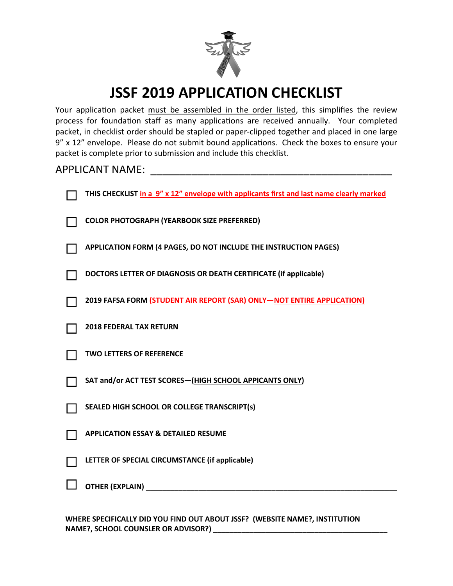

# **JSSF 2019 APPLICATION CHECKLIST**

Your application packet must be assembled in the order listed, this simplifies the review process for foundation staff as many applications are received annually. Your completed packet, in checklist order should be stapled or paper-clipped together and placed in one large 9" x 12" envelope. Please do not submit bound applications. Check the boxes to ensure your packet is complete prior to submission and include this checklist.

# APPLICANT NAME: \_\_\_\_\_\_\_\_\_\_\_\_\_\_\_\_\_\_\_\_\_\_\_\_\_\_\_\_\_\_\_\_\_\_\_\_\_\_\_\_\_

| THIS CHECKLIST in a 9" x 12" envelope with applicants first and last name clearly marked |
|------------------------------------------------------------------------------------------|
| <b>COLOR PHOTOGRAPH (YEARBOOK SIZE PREFERRED)</b>                                        |
| APPLICATION FORM (4 PAGES, DO NOT INCLUDE THE INSTRUCTION PAGES)                         |
| DOCTORS LETTER OF DIAGNOSIS OR DEATH CERTIFICATE (if applicable)                         |
| 2019 FAFSA FORM (STUDENT AIR REPORT (SAR) ONLY-NOT ENTIRE APPLICATION)                   |
| <b>2018 FEDERAL TAX RETURN</b>                                                           |
| <b>TWO LETTERS OF REFERENCE</b>                                                          |
| SAT and/or ACT TEST SCORES-(HIGH SCHOOL APPICANTS ONLY)                                  |
| SEALED HIGH SCHOOL OR COLLEGE TRANSCRIPT(s)                                              |
| <b>APPLICATION ESSAY &amp; DETAILED RESUME</b>                                           |
| LETTER OF SPECIAL CIRCUMSTANCE (if applicable)                                           |
| OTHER (EXPLAIN) ________                                                                 |
|                                                                                          |

**WHERE SPECIFICALLY DID YOU FIND OUT ABOUT JSSF? (WEBSITE NAME?, INSTITUTION NAME?, SCHOOL COUNSLER OR ADVISOR?) \_\_\_\_\_\_\_\_\_\_\_\_\_\_\_\_\_\_\_\_\_\_\_\_\_\_\_\_\_\_\_\_\_\_\_\_\_\_\_\_\_\_\_**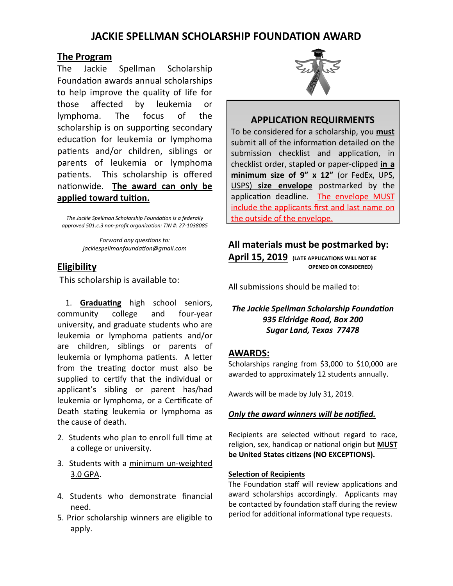# **JACKIE SPELLMAN SCHOLARSHIP FOUNDATION AWARD**

### **The Program**

The Jackie Spellman Scholarship Foundation awards annual scholarships to help improve the quality of life for those affected by leukemia or lymphoma. The focus of the scholarship is on supporting secondary education for leukemia or lymphoma patients and/or children, siblings or parents of leukemia or lymphoma patients. This scholarship is offered nationwide. The award can only be applied toward tuition.

The Jackie Spellman Scholarship Foundation is a federally approved 501.c.3 non-profit organization: TIN #: 27-1038085

> *Forward any questions to:*  $jackiespelmanfoundation@gmail.com$

# **Eligibility**

This scholarship is available to:

1. **Graduating** high school seniors, community college and four-year university, and graduate students who are leukemia or lymphoma patients and/or are children, siblings or parents of leukemia or lymphoma patients. A letter from the treating doctor must also be supplied to certify that the individual or applicant's sibling or parent has/had leukemia or lymphoma, or a Cerficate of Death stating leukemia or lymphoma as the cause of death.

- 2. Students who plan to enroll full time at a college or university.
- 3. Students with a minimum un-weighted 3.0 GPA.
- 4. Students who demonstrate financial need.
- 5. Prior scholarship winners are eligible to apply.



## **APPLICATION REQUIRMENTS**

To be considered for a scholarship, you **must** submit all of the information detailed on the submission checklist and application, in checklist order, stapled or paper-clipped **in a minimum size of 9" x 12"** (or FedEx, UPS, USPS) **size envelope** postmarked by the application deadline. The envelope MUST include the applicants first and last name on the outside of the envelope.

## **All materials must be postmarked by:**

**April 15, 2019 (LATE APPLICATIONS WILL NOT BE OPENED OR CONSIDERED)** 

All submissions should be mailed to:

# **The Jackie Spellman Scholarship Foundation** *935 Eldridge Road, Box 200 Sugar Land, Texas 77478*

#### **AWARDS:**

Scholarships ranging from \$3,000 to \$10,000 are awarded to approximately 12 students annually.

Awards will be made by July 31, 2019.

#### *Only the award winners will be nofied.*

Recipients are selected without regard to race, religion, sex, handicap or national origin but **MUST** be United States citizens (NO EXCEPTIONS).

#### **Selection of Recipients**

The Foundation staff will review applications and award scholarships accordingly. Applicants may be contacted by foundation staff during the review period for additional informational type requests.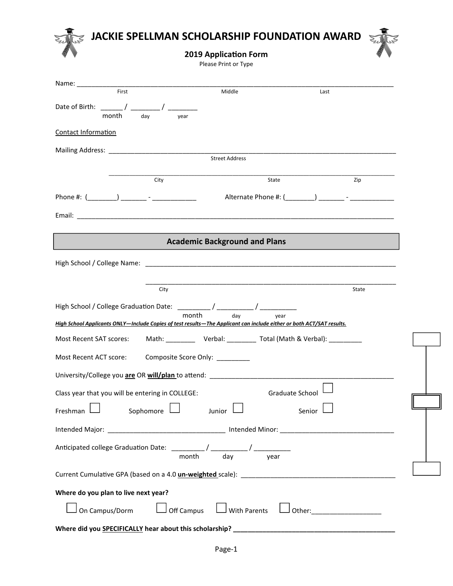

Please Print or Type

| First<br>Middle<br>Last<br>month<br>day<br>year<br>Contact Information<br>Street Address<br>City<br>State<br>Zip<br><b>Academic Background and Plans</b><br>High School / College Name: Name and School and School and School Australian School / College Name:<br>City<br>State |
|----------------------------------------------------------------------------------------------------------------------------------------------------------------------------------------------------------------------------------------------------------------------------------|
|                                                                                                                                                                                                                                                                                  |
|                                                                                                                                                                                                                                                                                  |
|                                                                                                                                                                                                                                                                                  |
|                                                                                                                                                                                                                                                                                  |
|                                                                                                                                                                                                                                                                                  |
|                                                                                                                                                                                                                                                                                  |
|                                                                                                                                                                                                                                                                                  |
|                                                                                                                                                                                                                                                                                  |
|                                                                                                                                                                                                                                                                                  |
|                                                                                                                                                                                                                                                                                  |
|                                                                                                                                                                                                                                                                                  |
|                                                                                                                                                                                                                                                                                  |
|                                                                                                                                                                                                                                                                                  |
|                                                                                                                                                                                                                                                                                  |
|                                                                                                                                                                                                                                                                                  |
|                                                                                                                                                                                                                                                                                  |
|                                                                                                                                                                                                                                                                                  |
| month<br>day<br>year<br>High School Applicants ONLY-Include Copies of test results-The Applicant can include either or both ACT/SAT results.                                                                                                                                     |
| Most Recent SAT scores: Math: __________ Verbal: _________ Total (Math & Verbal): _________                                                                                                                                                                                      |
|                                                                                                                                                                                                                                                                                  |
| Most Recent ACT score: Composite Score Only: _________                                                                                                                                                                                                                           |
| University/College you are OR will/plan to attend:                                                                                                                                                                                                                               |
| Class year that you will be entering in COLLEGE:<br>Graduate School                                                                                                                                                                                                              |
|                                                                                                                                                                                                                                                                                  |
| Sophomore $\Box$<br>Junior<br>Freshman I<br>Senior                                                                                                                                                                                                                               |
|                                                                                                                                                                                                                                                                                  |
|                                                                                                                                                                                                                                                                                  |
|                                                                                                                                                                                                                                                                                  |
|                                                                                                                                                                                                                                                                                  |
|                                                                                                                                                                                                                                                                                  |
| Where do you plan to live next year?                                                                                                                                                                                                                                             |
| On Campus/Dorm $\Box$ Off Campus $\Box$ With Parents $\Box$ Other: ____________________                                                                                                                                                                                          |
|                                                                                                                                                                                                                                                                                  |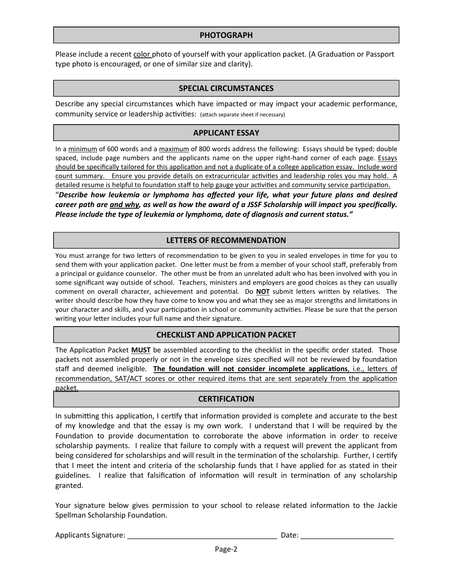#### **PHOTOGRAPH**

Please include a recent color photo of yourself with your application packet. (A Graduation or Passport type photo is encouraged, or one of similar size and clarity).

#### **SPECIAL CIRCUMSTANCES**

Describe any special circumstances which have impacted or may impact your academic performance, community service or leadership activities: (attach separate sheet if necessary)

#### **APPLICANT ESSAY**

In a minimum of 600 words and a maximum of 800 words address the following: Essays should be typed; double spaced, include page numbers and the applicants name on the upper right-hand corner of each page. Essays should be specifically tailored for this application and not a duplicate of a college application essay. Include word count summary. Ensure you provide details on extracurricular activities and leadership roles you may hold. A detailed resume is helpful to foundation staff to help gauge your activities and community service participation. "*Describe how leukemia or lymphoma has affected your life, what your future plans and desired career path are and why, as well as how the award of a JSSF Scholarship will impact you specifically. Please include the type of leukemia or lymphoma, date of diagnosis and current status."* 

#### **LETTERS OF RECOMMENDATION**

You must arrange for two letters of recommendation to be given to you in sealed envelopes in time for you to send them with your application packet. One letter must be from a member of your school staff, preferably from a principal or guidance counselor. The other must be from an unrelated adult who has been involved with you in some significant way outside of school. Teachers, ministers and employers are good choices as they can usually comment on overall character, achievement and potential. Do **NOT** submit letters written by relatives. The writer should describe how they have come to know you and what they see as major strengths and limitations in your character and skills, and your participation in school or community activities. Please be sure that the person writing your letter includes your full name and their signature.

#### **CHECKLIST AND APPLICATION PACKET**

The Application Packet MUST be assembled according to the checklist in the specific order stated. Those packets not assembled properly or not in the envelope sizes specified will not be reviewed by foundation staff and deemed ineligible. **The foundation will not consider incomplete applications**, i.e., letters of recommendation, SAT/ACT scores or other required items that are sent separately from the application packet.

#### **CERTIFICATION**

In submitting this application, I certify that information provided is complete and accurate to the best of my knowledge and that the essay is my own work. I understand that I will be required by the Foundation to provide documentation to corroborate the above information in order to receive scholarship payments. I realize that failure to comply with a request will prevent the applicant from being considered for scholarships and will result in the termination of the scholarship. Further, I certify that I meet the intent and criteria of the scholarship funds that I have applied for as stated in their guidelines. I realize that falsification of information will result in termination of any scholarship granted.

Your signature below gives permission to your school to release related information to the Jackie Spellman Scholarship Foundation.

| <b>Applicants Signature:</b> |  |  |
|------------------------------|--|--|
|                              |  |  |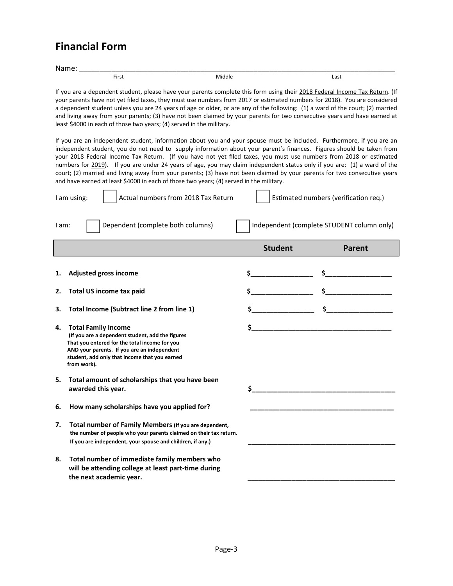# **Financial Form**

| $\mathbf{A}$<br>N |       |             |      |  |
|-------------------|-------|-------------|------|--|
|                   | First | Middle<br>. | Last |  |
|                   |       |             |      |  |

If you are a dependent student, please have your parents complete this form using their 2018 Federal Income Tax Return. (If your parents have not yet filed taxes, they must use numbers from 2017 or estimated numbers for 2018). You are considered a dependent student unless you are 24 years of age or older, or are any of the following: (1) a ward of the court; (2) married and living away from your parents; (3) have not been claimed by your parents for two consecutive years and have earned at least \$4000 in each of those two years; (4) served in the military.

If you are an independent student, information about you and your spouse must be included. Furthermore, if you are an independent student, you do not need to supply information about your parent's finances. Figures should be taken from your 2018 Federal Income Tax Return. (If you have not yet filed taxes, you must use numbers from 2018 or estimated numbers for 2019). If you are under 24 years of age, you may claim independent status only if you are: (1) a ward of the court; (2) married and living away from your parents; (3) have not been claimed by your parents for two consecutive years and have earned at least \$4000 in each of those two years; (4) served in the military.

| I am using:                    | Actual numbers from 2018 Tax Return |                | Estimated numbers (verification req.)      |
|--------------------------------|-------------------------------------|----------------|--------------------------------------------|
| I am:                          | Dependent (complete both columns)   |                | Independent (complete STUDENT column only) |
|                                |                                     | <b>Student</b> | Parent                                     |
|                                | <b>Adjusted gross income</b>        |                |                                            |
| Total US income tax paid<br>2. |                                     |                |                                            |

- **3.** Total Income (Subtract line 2 from line 1)  $\begin{array}{ccc} 3 & 2 & 3 \\ 4 & 5 & 2 & 3 \\ 8 & 10 & 10 & 10 \\ 9 & 10 & 10 & 10 \\ 10 & 10 & 10 & 10 \\ 11 & 10 & 10 & 10 \\ 11 & 10 & 10 & 10 \\ 11 & 10 & 10 & 10 \\ 11 & 10 & 10 & 10 \\ 11 & 10 & 10 & 10 \\ 11 & 10 & 10 & 10 \\ 11$
- **4.** Total Family Income  **(If you are a dependent student, add the figures That you entered for the total income for you AND your parents. If you are an independent student, add only that income that you earned from work).**
- **5. Total amount of scholarships that you have been**  awarded this year.
- 6. How many scholarships have you applied for?
- **7. Total number of Family Members (If you are dependent, the number of people who your parents claimed on their tax return.**  If you are independent, your spouse and children, if any.)
- **8. Total number of immediate family members who**  will be attending college at least part-time during the next academic year.